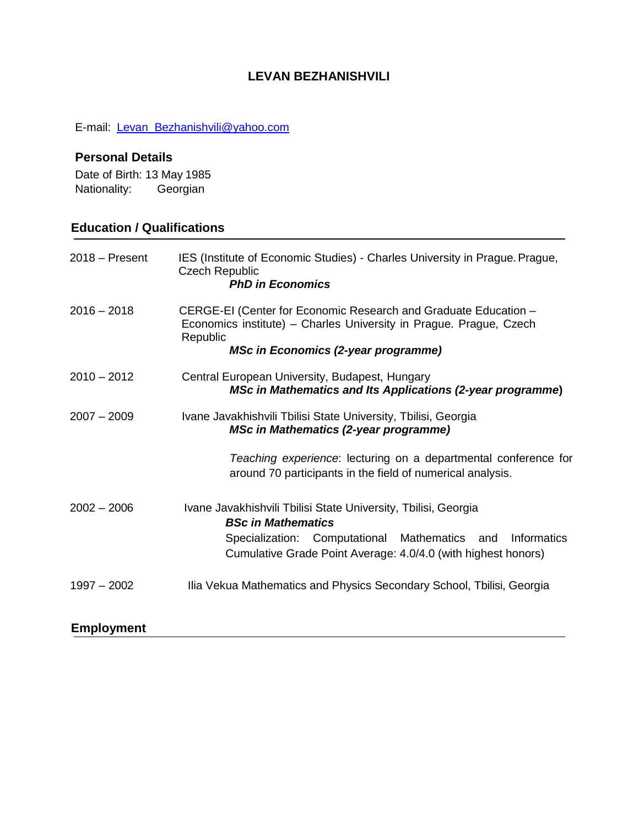# **LEVAN BEZHANISHVILI**

E-mail: [Levan\\_Bezhanishvili@yahoo.com](mailto:Levan_Bezhanishvili@yahoo.com)

# **Personal Details**

Date of Birth: 13 May 1985 Nationality: Georgian

# **Education / Qualifications**

| $2018 -$ Present  | IES (Institute of Economic Studies) - Charles University in Prague. Prague,<br><b>Czech Republic</b><br><b>PhD in Economics</b>                                                                 |
|-------------------|-------------------------------------------------------------------------------------------------------------------------------------------------------------------------------------------------|
| $2016 - 2018$     | CERGE-EI (Center for Economic Research and Graduate Education -<br>Economics institute) - Charles University in Prague. Prague, Czech<br>Republic<br><b>MSc in Economics (2-year programme)</b> |
| $2010 - 2012$     | Central European University, Budapest, Hungary<br><b>MSc in Mathematics and Its Applications (2-year programme)</b>                                                                             |
| $2007 - 2009$     | Ivane Javakhishvili Tbilisi State University, Tbilisi, Georgia<br><b>MSc in Mathematics (2-year programme)</b>                                                                                  |
|                   | Teaching experience: lecturing on a departmental conference for<br>around 70 participants in the field of numerical analysis.                                                                   |
| $2002 - 2006$     | Ivane Javakhishvili Tbilisi State University, Tbilisi, Georgia<br><b>BSc in Mathematics</b>                                                                                                     |
|                   | Specialization: Computational Mathematics<br>Informatics<br>and<br>Cumulative Grade Point Average: 4.0/4.0 (with highest honors)                                                                |
| $1997 - 2002$     | Ilia Vekua Mathematics and Physics Secondary School, Tbilisi, Georgia                                                                                                                           |
| <b>Employment</b> |                                                                                                                                                                                                 |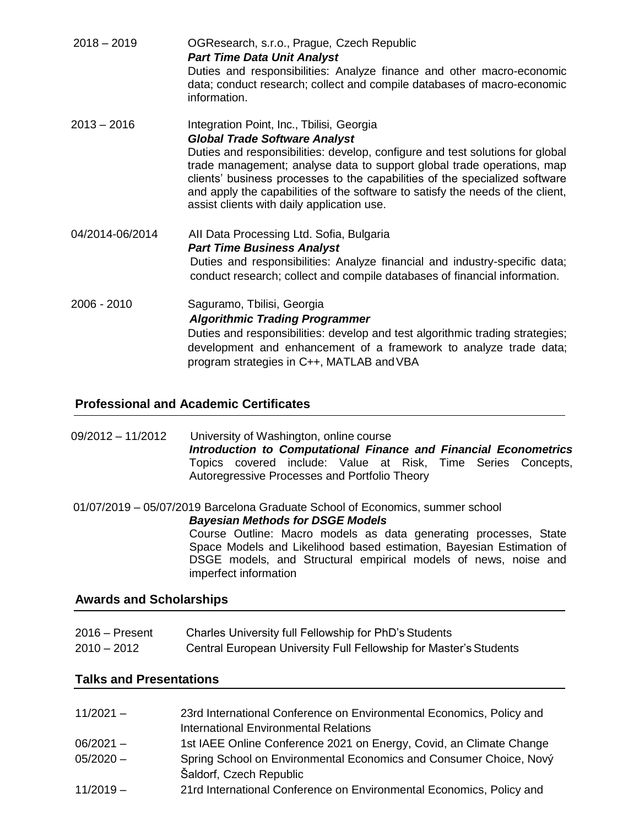| $2018 - 2019$   | OGResearch, s.r.o., Prague, Czech Republic<br><b>Part Time Data Unit Analyst</b><br>Duties and responsibilities: Analyze finance and other macro-economic<br>data; conduct research; collect and compile databases of macro-economic<br>information.                                                                                                                                                                                                        |
|-----------------|-------------------------------------------------------------------------------------------------------------------------------------------------------------------------------------------------------------------------------------------------------------------------------------------------------------------------------------------------------------------------------------------------------------------------------------------------------------|
| $2013 - 2016$   | Integration Point, Inc., Tbilisi, Georgia<br><b>Global Trade Software Analyst</b><br>Duties and responsibilities: develop, configure and test solutions for global<br>trade management; analyse data to support global trade operations, map<br>clients' business processes to the capabilities of the specialized software<br>and apply the capabilities of the software to satisfy the needs of the client,<br>assist clients with daily application use. |
| 04/2014-06/2014 | All Data Processing Ltd. Sofia, Bulgaria<br><b>Part Time Business Analyst</b><br>Duties and responsibilities: Analyze financial and industry-specific data;<br>conduct research; collect and compile databases of financial information.                                                                                                                                                                                                                    |
| 2006 - 2010     | Saguramo, Tbilisi, Georgia<br><b>Algorithmic Trading Programmer</b><br>Duties and responsibilities: develop and test algorithmic trading strategies;<br>development and enhancement of a framework to analyze trade data;<br>program strategies in C++, MATLAB and VBA                                                                                                                                                                                      |

#### **Professional and Academic Certificates**

09/2012 – 11/2012 University of Washington, online course *Introduction to Computational Finance and Financial Econometrics* Topics covered include: Value at Risk, Time Series Concepts, Autoregressive Processes and Portfolio Theory

 01/07/2019 – 05/07/2019 Barcelona Graduate School of Economics, summer school *Bayesian Methods for DSGE Models* Course Outline: Macro models as data generating processes, State Space Models and Likelihood based estimation, Bayesian Estimation of DSGE models, and Structural empirical models of news, noise and imperfect information

#### **Awards and Scholarships**

| $2016 -$ Present | Charles University full Fellowship for PhD's Students             |
|------------------|-------------------------------------------------------------------|
| $2010 - 2012$    | Central European University Full Fellowship for Master's Students |

## **Talks and Presentations**

| $11/2021 -$ | 23rd International Conference on Environmental Economics, Policy and<br><b>International Environmental Relations</b> |
|-------------|----------------------------------------------------------------------------------------------------------------------|
| $06/2021 -$ | 1st IAEE Online Conference 2021 on Energy, Covid, an Climate Change                                                  |
| $05/2020 -$ | Spring School on Environmental Economics and Consumer Choice, Nový<br>Šaldorf, Czech Republic                        |
| $11/2019 -$ | 21rd International Conference on Environmental Economics, Policy and                                                 |